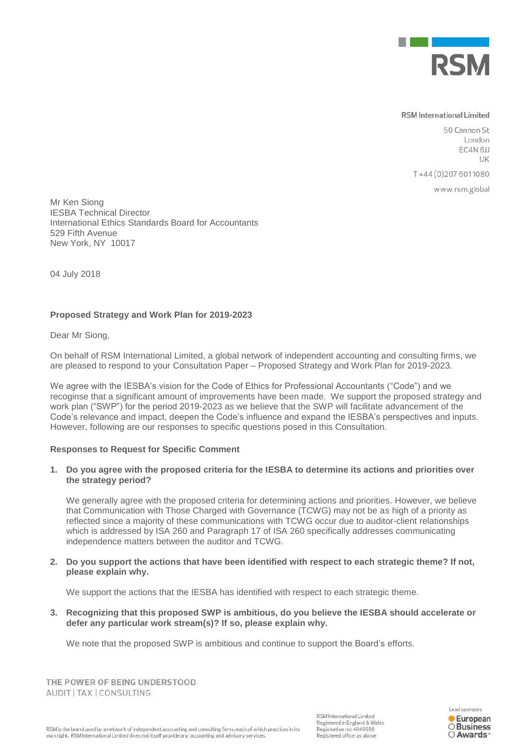

## **RSM** International Limited

50 Cannon St London EC4N<sub>6JJ</sub> LIK

T+44 (0) 207 6011080

www.rsm.global

Mr Ken Siong IESBA Technical Director International Ethics Standards Board for Accountants 529 Fifth Avenue New York, NY 10017

04 July 2018

## **Proposed Strategy and Work Plan for 2019-2023**

Dear Mr Siong,

On behalf of RSM International Limited, a global network of independent accounting and consulting firms, we are pleased to respond to your Consultation Paper – Proposed Strategy and Work Plan for 2019-2023.

We agree with the IESBA's vision for the Code of Ethics for Professional Accountants ("Code") and we recoginse that a significant amount of improvements have been made. We support the proposed strategy and work plan ("SWP") for the period 2019-2023 as we believe that the SWP will facilitate advancement of the Code's relevance and impact, deepen the Code's influence and expand the IESBA's perspectives and inputs. However, following are our responses to specific questions posed in this Consultation.

## **Responses to Request for Specific Comment**

**1. Do you agree with the proposed criteria for the IESBA to determine its actions and priorities over the strategy period?**

We generally agree with the proposed criteria for determining actions and priorities. However, we believe that Communication with Those Charged with Governance (TCWG) may not be as high of a priority as reflected since a majority of these communications with TCWG occur due to auditor-client relationships which is addressed by ISA 260 and Paragraph 17 of ISA 260 specifically addresses communicating independence matters between the auditor and TCWG.

**2. Do you support the actions that have been identified with respect to each strategic theme? If not, please explain why.**

We support the actions that the IESBA has identified with respect to each strategic theme.

**3. Recognizing that this proposed SWP is ambitious, do you believe the IESBA should accelerate or defer any particular work stream(s)? If so, please explain why.** 

We note that the proposed SWP is ambitious and continue to support the Board's efforts.

THE POWER OF BEING UNDERSTOOD AUDIT | TAX | CONSULTING